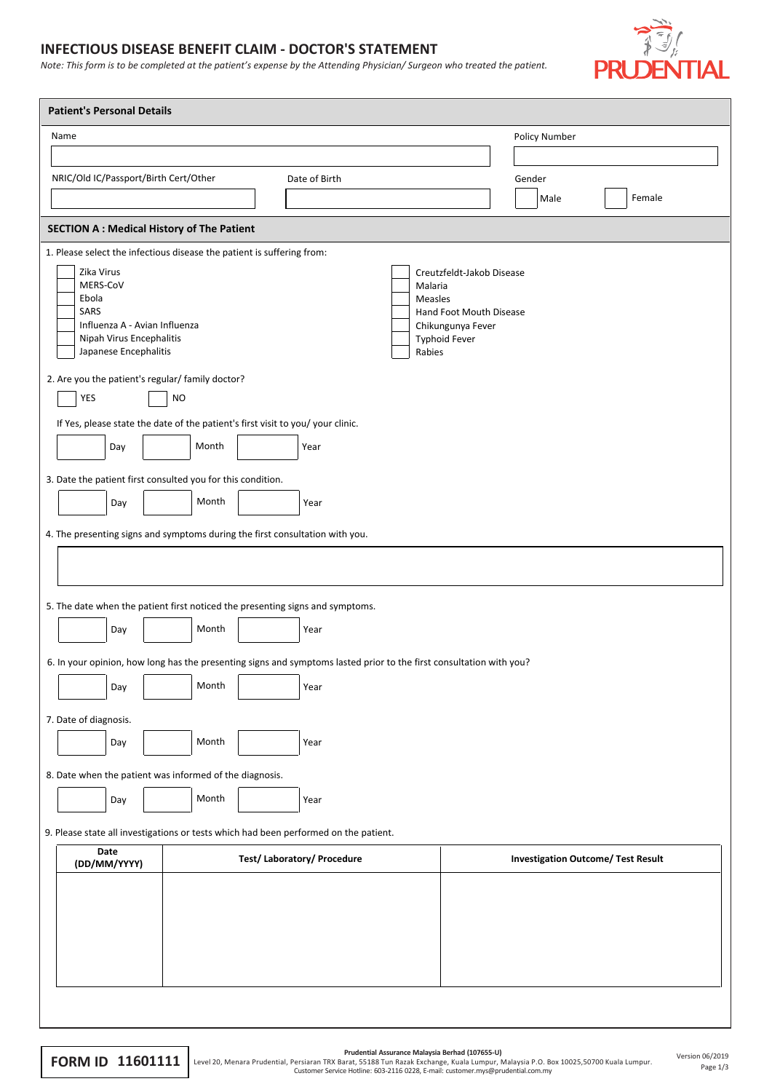## **INFECTIOUS DISEASE BENEFIT CLAIM - DOCTOR'S STATEMENT**

*Note: This form is to be completed at the patient's expense by the Attending Physician/ Surgeon who treated the patient.*



| <b>Patient's Personal Details</b>                                                                                 |                                                                                                                     |                                                      |  |  |  |  |
|-------------------------------------------------------------------------------------------------------------------|---------------------------------------------------------------------------------------------------------------------|------------------------------------------------------|--|--|--|--|
| Name                                                                                                              |                                                                                                                     | Policy Number                                        |  |  |  |  |
|                                                                                                                   |                                                                                                                     |                                                      |  |  |  |  |
| NRIC/Old IC/Passport/Birth Cert/Other                                                                             | Date of Birth                                                                                                       | Gender                                               |  |  |  |  |
|                                                                                                                   |                                                                                                                     | Female<br>Male                                       |  |  |  |  |
| <b>SECTION A: Medical History of The Patient</b>                                                                  |                                                                                                                     |                                                      |  |  |  |  |
| 1. Please select the infectious disease the patient is suffering from:<br>Zika Virus<br>MERS-CoV<br>Ebola<br>SARS | Malaria<br>Measles                                                                                                  | Creutzfeldt-Jakob Disease<br>Hand Foot Mouth Disease |  |  |  |  |
| Influenza A - Avian Influenza<br>Nipah Virus Encephalitis<br>Japanese Encephalitis                                | Chikungunya Fever<br><b>Typhoid Fever</b><br>Rabies                                                                 |                                                      |  |  |  |  |
| 2. Are you the patient's regular/ family doctor?<br>YES<br><b>NO</b>                                              |                                                                                                                     |                                                      |  |  |  |  |
| If Yes, please state the date of the patient's first visit to you/ your clinic.                                   |                                                                                                                     |                                                      |  |  |  |  |
| Month<br>Day                                                                                                      | Year                                                                                                                |                                                      |  |  |  |  |
| 3. Date the patient first consulted you for this condition.                                                       |                                                                                                                     |                                                      |  |  |  |  |
| Month<br>Day                                                                                                      | Year                                                                                                                |                                                      |  |  |  |  |
| 4. The presenting signs and symptoms during the first consultation with you.                                      |                                                                                                                     |                                                      |  |  |  |  |
|                                                                                                                   |                                                                                                                     |                                                      |  |  |  |  |
|                                                                                                                   |                                                                                                                     |                                                      |  |  |  |  |
| 5. The date when the patient first noticed the presenting signs and symptoms.                                     |                                                                                                                     |                                                      |  |  |  |  |
| Month<br>Day                                                                                                      | Year                                                                                                                |                                                      |  |  |  |  |
|                                                                                                                   |                                                                                                                     |                                                      |  |  |  |  |
| Month                                                                                                             | 6. In your opinion, how long has the presenting signs and symptoms lasted prior to the first consultation with you? |                                                      |  |  |  |  |
| Day                                                                                                               | Year                                                                                                                |                                                      |  |  |  |  |
| 7. Date of diagnosis.                                                                                             |                                                                                                                     |                                                      |  |  |  |  |
| Month<br>Day                                                                                                      | Year                                                                                                                |                                                      |  |  |  |  |
| 8. Date when the patient was informed of the diagnosis.                                                           |                                                                                                                     |                                                      |  |  |  |  |
| Month<br>Day                                                                                                      | Year                                                                                                                |                                                      |  |  |  |  |
| 9. Please state all investigations or tests which had been performed on the patient.                              |                                                                                                                     |                                                      |  |  |  |  |
| Date                                                                                                              | <b>Investigation Outcome/ Test Result</b>                                                                           |                                                      |  |  |  |  |
| (DD/MM/YYYY)                                                                                                      | <b>Test/Laboratory/Procedure</b>                                                                                    |                                                      |  |  |  |  |
|                                                                                                                   |                                                                                                                     |                                                      |  |  |  |  |
|                                                                                                                   |                                                                                                                     |                                                      |  |  |  |  |
|                                                                                                                   |                                                                                                                     |                                                      |  |  |  |  |
|                                                                                                                   |                                                                                                                     |                                                      |  |  |  |  |
|                                                                                                                   |                                                                                                                     |                                                      |  |  |  |  |
|                                                                                                                   |                                                                                                                     |                                                      |  |  |  |  |

**FORM ID 11601111** Level 20, Menara Prudential, Persiaran TRX Brudential Assurance Malaysia Berhad (107655-U)<br>Customer Service Hotline: 603-2116 0228, E-mail: customer. Mulaysia P.O. Box 10025,50700 Kuala Lumpur.<br>Page 1/3

Page 1/3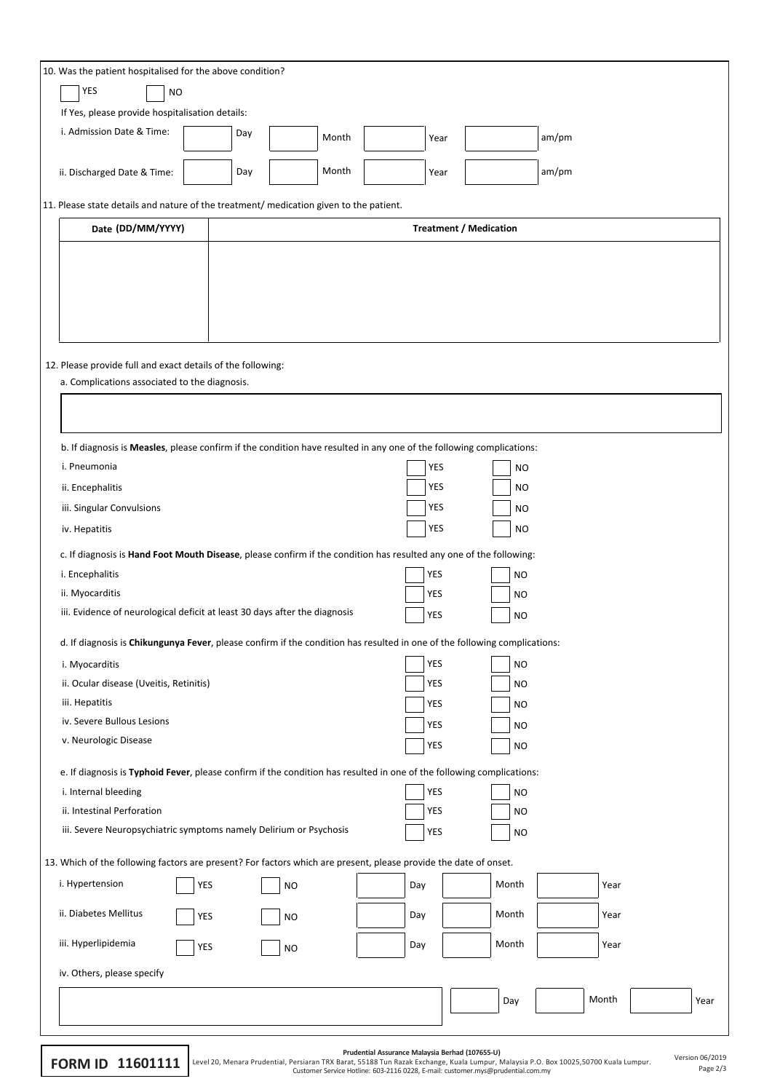| 10. Was the patient hospitalised for the above condition?                                                                 |           |       |            |                               |       |      |
|---------------------------------------------------------------------------------------------------------------------------|-----------|-------|------------|-------------------------------|-------|------|
| YES<br><b>NO</b>                                                                                                          |           |       |            |                               |       |      |
| If Yes, please provide hospitalisation details:                                                                           |           |       |            |                               |       |      |
| i. Admission Date & Time:                                                                                                 | Day       | Month | Year       |                               | am/pm |      |
|                                                                                                                           |           |       |            |                               |       |      |
| ii. Discharged Date & Time:                                                                                               | Day       | Month | Year       |                               | am/pm |      |
| 11. Please state details and nature of the treatment/ medication given to the patient.                                    |           |       |            |                               |       |      |
| Date (DD/MM/YYYY)                                                                                                         |           |       |            | <b>Treatment / Medication</b> |       |      |
|                                                                                                                           |           |       |            |                               |       |      |
|                                                                                                                           |           |       |            |                               |       |      |
|                                                                                                                           |           |       |            |                               |       |      |
|                                                                                                                           |           |       |            |                               |       |      |
|                                                                                                                           |           |       |            |                               |       |      |
|                                                                                                                           |           |       |            |                               |       |      |
| 12. Please provide full and exact details of the following:<br>a. Complications associated to the diagnosis.              |           |       |            |                               |       |      |
|                                                                                                                           |           |       |            |                               |       |      |
|                                                                                                                           |           |       |            |                               |       |      |
|                                                                                                                           |           |       |            |                               |       |      |
| b. If diagnosis is Measles, please confirm if the condition have resulted in any one of the following complications:      |           |       |            |                               |       |      |
| i. Pneumonia                                                                                                              |           |       | YES        | <b>NO</b>                     |       |      |
| ii. Encephalitis                                                                                                          |           |       | YES        | <b>NO</b>                     |       |      |
| iii. Singular Convulsions                                                                                                 |           |       | YES        | <b>NO</b>                     |       |      |
| iv. Hepatitis                                                                                                             |           |       | YES        | <b>NO</b>                     |       |      |
| c. If diagnosis is Hand Foot Mouth Disease, please confirm if the condition has resulted any one of the following:        |           |       |            |                               |       |      |
| i. Encephalitis                                                                                                           |           |       | YES        | NO                            |       |      |
| ii. Myocarditis                                                                                                           |           |       | YES        | NO                            |       |      |
| iii. Evidence of neurological deficit at least 30 days after the diagnosis                                                |           |       | YES        | <b>NO</b>                     |       |      |
| d. If diagnosis is Chikungunya Fever, please confirm if the condition has resulted in one of the following complications: |           |       |            |                               |       |      |
| i. Myocarditis                                                                                                            |           |       | YES        | NO                            |       |      |
| ii. Ocular disease (Uveitis, Retinitis)                                                                                   |           |       | YES        | NO                            |       |      |
| iii. Hepatitis                                                                                                            |           |       | YES        | <b>NO</b>                     |       |      |
| iv. Severe Bullous Lesions                                                                                                |           |       |            | NO                            |       |      |
| v. Neurologic Disease                                                                                                     |           |       | YES        | <b>NO</b>                     |       |      |
|                                                                                                                           |           |       |            |                               |       |      |
| e. If diagnosis is Typhoid Fever, please confirm if the condition has resulted in one of the following complications:     |           |       |            |                               |       |      |
| i. Internal bleeding<br>ii. Intestinal Perforation                                                                        |           |       | YES<br>YES | <b>NO</b>                     |       |      |
|                                                                                                                           |           |       |            | <b>NO</b>                     |       |      |
| iii. Severe Neuropsychiatric symptoms namely Delirium or Psychosis<br>YES<br>NO                                           |           |       |            |                               |       |      |
| 13. Which of the following factors are present? For factors which are present, please provide the date of onset.          |           |       |            |                               |       |      |
| i. Hypertension<br>YES                                                                                                    | <b>NO</b> |       | Day        | Month                         | Year  |      |
| ii. Diabetes Mellitus<br>YES                                                                                              | <b>NO</b> |       | Day        | Month                         | Year  |      |
| iii. Hyperlipidemia<br>YES                                                                                                | <b>NO</b> |       | Day        | Month                         | Year  |      |
| iv. Others, please specify                                                                                                |           |       |            |                               |       |      |
|                                                                                                                           |           |       |            | Day                           | Month | Year |
|                                                                                                                           |           |       |            |                               |       |      |

|  | Prudential Assurance Malaysia Berhad (107655-L |  |  |
|--|------------------------------------------------|--|--|

Prudential Assurance Malaysia Berhad (107655-U)<br>Customer Sevice Hotline: 85138 Tun Razak Exchange, Kuala Lumpur, Malaysia P.O. Box 10025,50700 Kuala Lumpur.<br>Page 2/3 Customer Service Hotline: 603-2116 0228, E-mail: custome